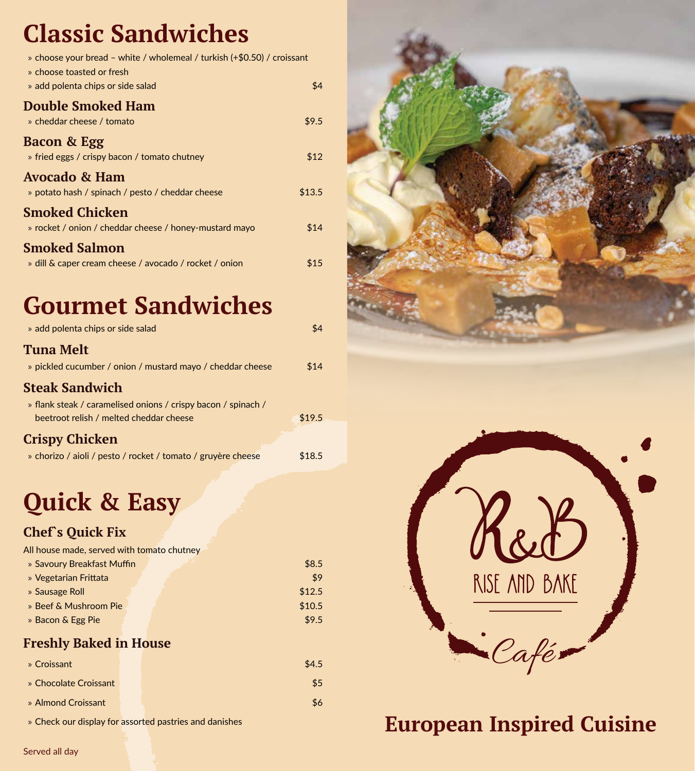### **Classic Sandwiches**

| » choose your bread – white / wholemeal / turkish (+\$0.50) / croissant<br>» choose toasted or fresh |        |
|------------------------------------------------------------------------------------------------------|--------|
| » add polenta chips or side salad                                                                    | \$4    |
| <b>Double Smoked Ham</b><br>» cheddar cheese / tomato                                                | \$9.5  |
| <b>Bacon &amp; Egg</b><br>» fried eggs / crispy bacon / tomato chutney                               | \$12   |
| Avocado & Ham<br>» potato hash / spinach / pesto / cheddar cheese                                    | \$13.5 |
| Smoked Chicken<br>» rocket / onion / cheddar cheese / honey-mustard mayo                             | \$14   |
| <b>Smoked Salmon</b><br>» dill & caper cream cheese / avocado / rocket / onion                       | \$15   |

# **Gourmet Sandwiches**

| <b>Quick &amp; Easy</b>                                                                                  |        |
|----------------------------------------------------------------------------------------------------------|--------|
| » chorizo / aioli / pesto / rocket / tomato / gruyère cheese                                             | \$18.5 |
| <b>Crispy Chicken</b>                                                                                    |        |
| » flank steak / caramelised onions / crispy bacon / spinach /<br>beetroot relish / melted cheddar cheese | \$19.5 |
| <b>Steak Sandwich</b>                                                                                    |        |
| » pickled cucumber / onion / mustard mayo / cheddar cheese                                               | \$14   |
| <b>Tuna Melt</b>                                                                                         |        |
| » add polenta chips or side salad                                                                        | \$4    |

### **Chef`s Quick Fix**

| All house made, served with tomato chutney |        |
|--------------------------------------------|--------|
| » Savoury Breakfast Muffin                 | \$8.5  |
| » Vegetarian Frittata                      | \$9    |
| » Sausage Roll                             | \$12.5 |
| » Beef & Mushroom Pie                      | \$10.5 |
| » Bacon & Egg Pie                          | \$9.5  |
| <b>Freshly Baked in House</b>              |        |
| » Croissant                                | \$4.5  |
| » Chocolate Croissant                      | \$5    |
| » Almond Croissant                         | \$6    |

» Check our display for assorted pastries and danishes





### **European Inspired Cuisine**